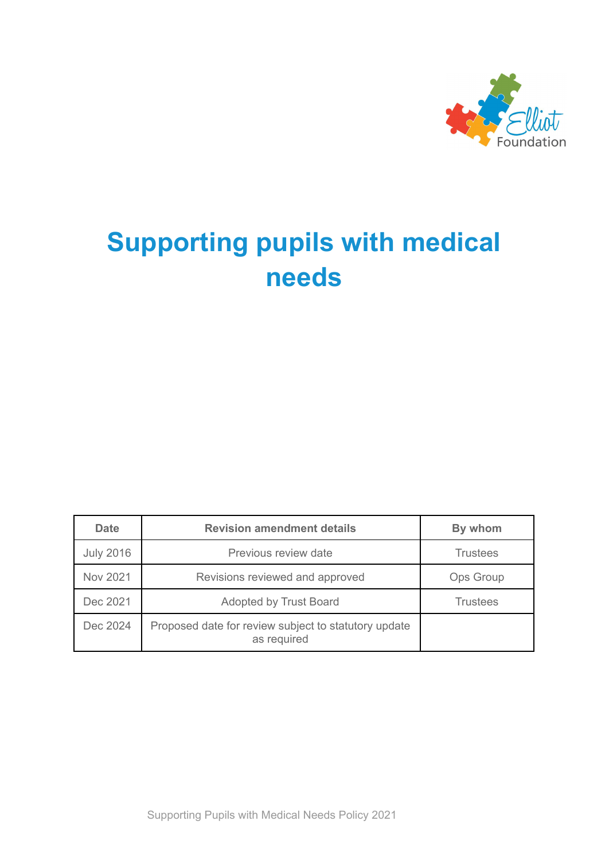

# **Supporting pupils with medical needs**

| <b>Date</b>      | <b>Revision amendment details</b>                                   | By whom          |
|------------------|---------------------------------------------------------------------|------------------|
| <b>July 2016</b> | Previous review date                                                | <b>Trustees</b>  |
| Nov 2021         | Revisions reviewed and approved                                     | <b>Ops Group</b> |
| Dec 2021         | Adopted by Trust Board                                              | <b>Trustees</b>  |
| Dec 2024         | Proposed date for review subject to statutory update<br>as required |                  |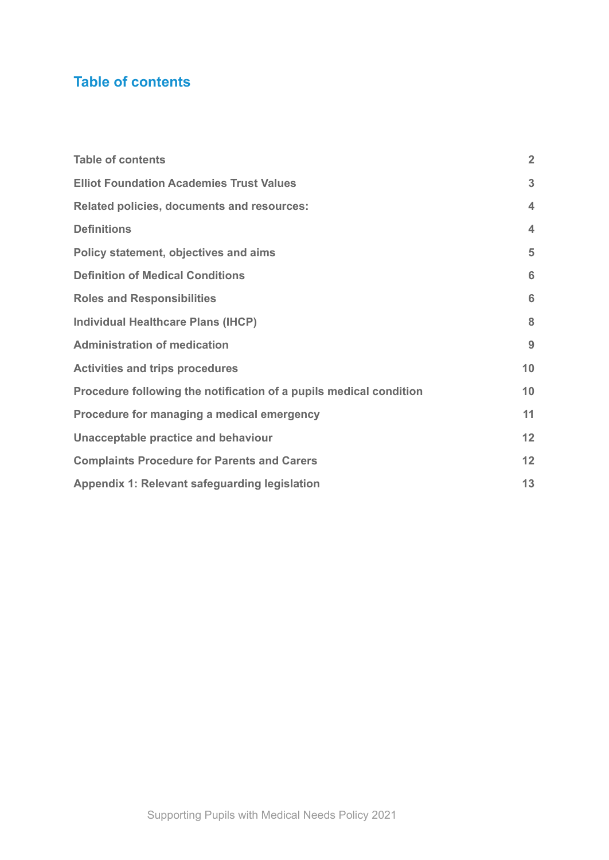# <span id="page-1-0"></span>**Table of contents**

| <b>Table of contents</b>                                           | $\overline{2}$     |
|--------------------------------------------------------------------|--------------------|
| <b>Elliot Foundation Academies Trust Values</b>                    | 3                  |
| <b>Related policies, documents and resources:</b>                  | $\overline{\bf 4}$ |
| <b>Definitions</b>                                                 | $\overline{\bf 4}$ |
| Policy statement, objectives and aims                              | 5                  |
| <b>Definition of Medical Conditions</b>                            | 6                  |
| <b>Roles and Responsibilities</b>                                  | 6                  |
| <b>Individual Healthcare Plans (IHCP)</b>                          | 8                  |
| <b>Administration of medication</b>                                | 9                  |
| <b>Activities and trips procedures</b>                             | 10                 |
| Procedure following the notification of a pupils medical condition | 10                 |
| Procedure for managing a medical emergency                         | 11                 |
| Unacceptable practice and behaviour                                | 12                 |
| <b>Complaints Procedure for Parents and Carers</b>                 |                    |
| Appendix 1: Relevant safeguarding legislation                      | 13                 |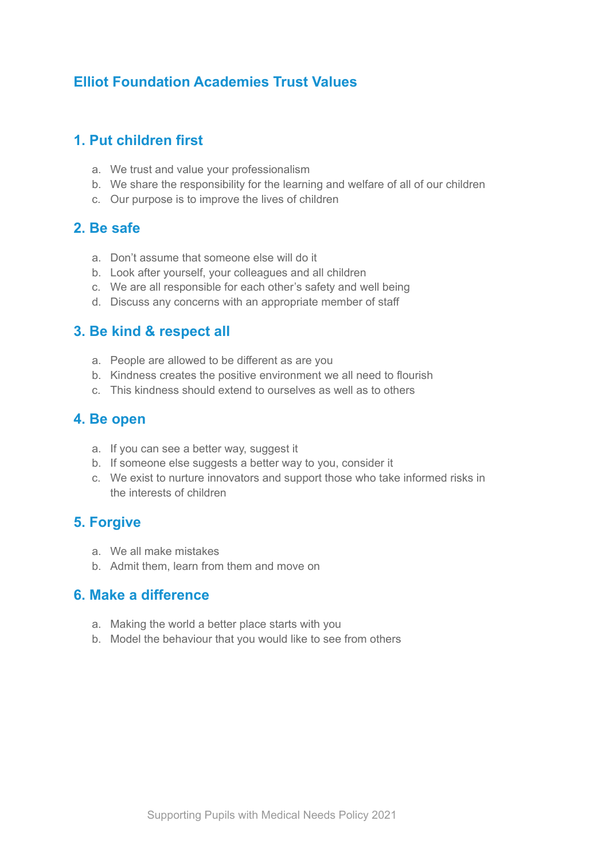## <span id="page-2-0"></span>**Elliot Foundation Academies Trust Values**

#### **1. Put children first**

- a. We trust and value your professionalism
- b. We share the responsibility for the learning and welfare of all of our children
- c. Our purpose is to improve the lives of children

### **2. Be safe**

- a. Don't assume that someone else will do it
- b. Look after yourself, your colleagues and all children
- c. We are all responsible for each other's safety and well being
- d. Discuss any concerns with an appropriate member of staff

#### **3. Be kind & respect all**

- a. People are allowed to be different as are you
- b. Kindness creates the positive environment we all need to flourish
- c. This kindness should extend to ourselves as well as to others

#### **4. Be open**

- a. If you can see a better way, suggest it
- b. If someone else suggests a better way to you, consider it
- c. We exist to nurture innovators and support those who take informed risks in the interests of children

#### **5. Forgive**

- a. We all make mistakes
- b. Admit them, learn from them and move on

#### **6. Make a difference**

- a. Making the world a better place starts with you
- b. Model the behaviour that you would like to see from others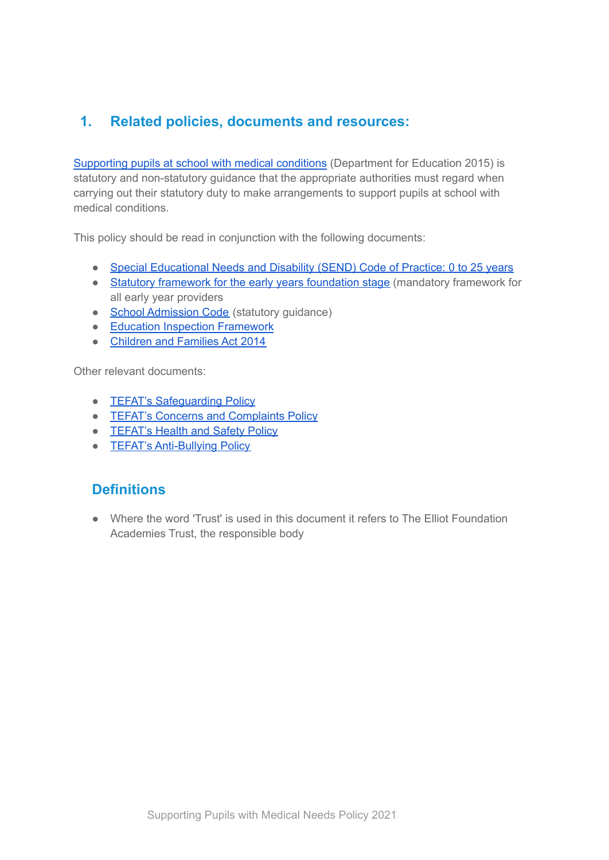## <span id="page-3-0"></span>**1. Related policies, documents and resources:**

[Supporting](https://assets.publishing.service.gov.uk/government/uploads/system/uploads/attachment_data/file/803956/supporting-pupils-at-school-with-medical-conditions.pdf) pupils at school with medical conditions (Department for Education 2015) is statutory and non-statutory guidance that the appropriate authorities must regard when carrying out their statutory duty to make arrangements to support pupils at school with medical conditions.

This policy should be read in conjunction with the following documents:

- Special [Educational](https://www.gov.uk/government/publications/send-code-of-practice-0-to-25) Needs and Disability (SEND) Code of Practice: 0 to 25 years
- Statutory framework for the early years [foundation](https://assets.publishing.service.gov.uk/government/uploads/system/uploads/attachment_data/file/596629/EYFS_STATUTORY_FRAMEWORK_2017.pdf) stage (mandatory framework for all early year providers
- School [Admission](https://assets.publishing.service.gov.uk/government/uploads/system/uploads/attachment_data/file/389388/School_Admissions_Code_2014_-_19_Dec.pdf) Code (statutory guidance)
- Education Inspection [Framework](https://www.gov.uk/government/publications/education-inspection-framework)
- [Children](https://www.legislation.gov.uk/ukpga/2014/6/contents/enacted) and Families Act 2014

Other relevant documents:

- **TEFAT's Safequarding Policy**
- **TEFAT's Concerns and [Complaints](https://d180ur4pf89izg.cloudfront.net/uploads/asset/attachment/3856/Concerns_and_Complaints_Policy_2019.pdf) Policy**
- **[TEFAT's](https://d180ur4pf89izg.cloudfront.net/uploads/asset/attachment/1117/Health_and_Safety_Policy_Feb_2019__3_.pdf) Health and Safety Policy**
- **TEFAT's [Anti-Bullying](https://d180ur4pf89izg.cloudfront.net/uploads/asset/attachment/1466/Anti-Bullying_Policy_2019__1_.pdf) Policy**

## <span id="page-3-1"></span>**Definitions**

● Where the word 'Trust' is used in this document it refers to The Elliot Foundation Academies Trust, the responsible body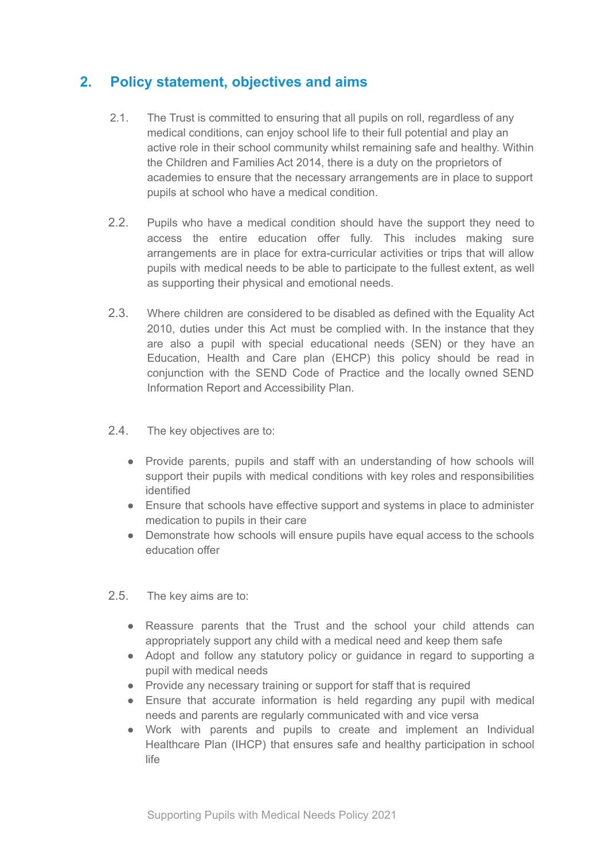## <span id="page-4-0"></span>**2. Policy statement, objectives and aims**

- 2.1. The Trust is committed to ensuring that all pupils on roll, regardless of any medical conditions, can enjoy school life to their full potential and play an active role in their school community whilst remaining safe and healthy. Within the Children and Families Act 2014, there is a duty on the proprietors of academies to ensure that the necessary arrangements are in place to support pupils at school who have a medical condition.
- 2.2. Pupils who have a medical condition should have the support they need to access the entire education offer fully. This includes making sure arrangements are in place for extra-curricular activities or trips that will allow pupils with medical needs to be able to participate to the fullest extent, as well as supporting their physical and emotional needs.
- 2.3. Where children are considered to be disabled as defined with the Equality Act 2010, duties under this Act must be complied with. In the instance that they are also a pupil with special educational needs (SEN) or they have an Education, Health and Care plan (EHCP) this policy should be read in conjunction with the SEND Code of Practice and the locally owned SEND Information Report and Accessibility Plan.
- 2.4. The key objectives are to:
	- Provide parents, pupils and staff with an understanding of how schools will support their pupils with medical conditions with key roles and responsibilities identified
	- Ensure that schools have effective support and systems in place to administer medication to pupils in their care
	- Demonstrate how schools will ensure pupils have equal access to the schools education offer
- 2.5. The key aims are to:
	- Reassure parents that the Trust and the school your child attends can appropriately support any child with a medical need and keep them safe
	- Adopt and follow any statutory policy or guidance in regard to supporting a pupil with medical needs
	- Provide any necessary training or support for staff that is required
	- Ensure that accurate information is held regarding any pupil with medical needs and parents are regularly communicated with and vice versa
	- Work with parents and pupils to create and implement an Individual Healthcare Plan (IHCP) that ensures safe and healthy participation in school life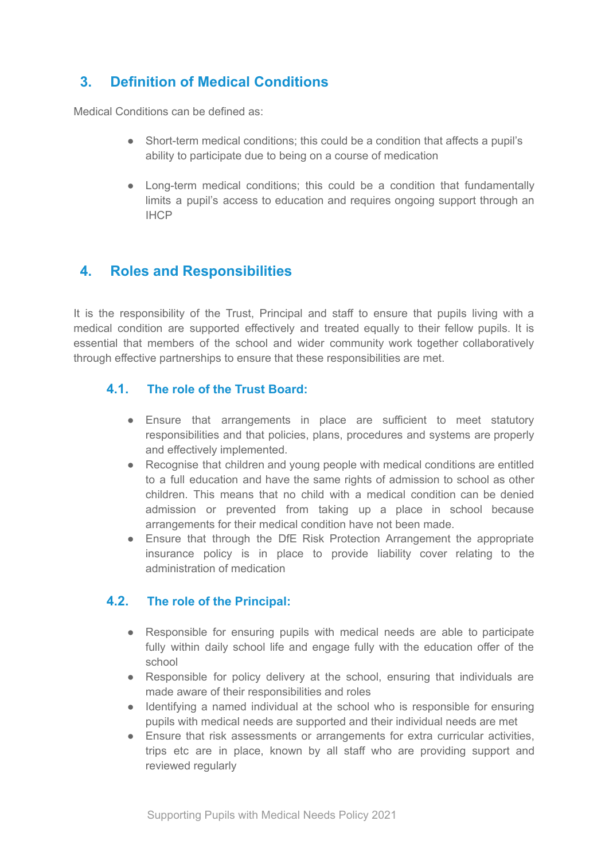## <span id="page-5-0"></span>**3. Definition of Medical Conditions**

Medical Conditions can be defined as:

- Short-term medical conditions; this could be a condition that affects a pupil's ability to participate due to being on a course of medication
- Long-term medical conditions; this could be a condition that fundamentally limits a pupil's access to education and requires ongoing support through an IHCP

### <span id="page-5-1"></span>**4. Roles and Responsibilities**

It is the responsibility of the Trust, Principal and staff to ensure that pupils living with a medical condition are supported effectively and treated equally to their fellow pupils. It is essential that members of the school and wider community work together collaboratively through effective partnerships to ensure that these responsibilities are met.

#### **4.1. The role of the Trust Board:**

- Ensure that arrangements in place are sufficient to meet statutory responsibilities and that policies, plans, procedures and systems are properly and effectively implemented.
- Recognise that children and young people with medical conditions are entitled to a full education and have the same rights of admission to school as other children. This means that no child with a medical condition can be denied admission or prevented from taking up a place in school because arrangements for their medical condition have not been made.
- Ensure that through the DfE Risk Protection Arrangement the appropriate insurance policy is in place to provide liability cover relating to the administration of medication

#### **4.2. The role of the Principal:**

- Responsible for ensuring pupils with medical needs are able to participate fully within daily school life and engage fully with the education offer of the school
- Responsible for policy delivery at the school, ensuring that individuals are made aware of their responsibilities and roles
- Identifying a named individual at the school who is responsible for ensuring pupils with medical needs are supported and their individual needs are met
- Ensure that risk assessments or arrangements for extra curricular activities, trips etc are in place, known by all staff who are providing support and reviewed regularly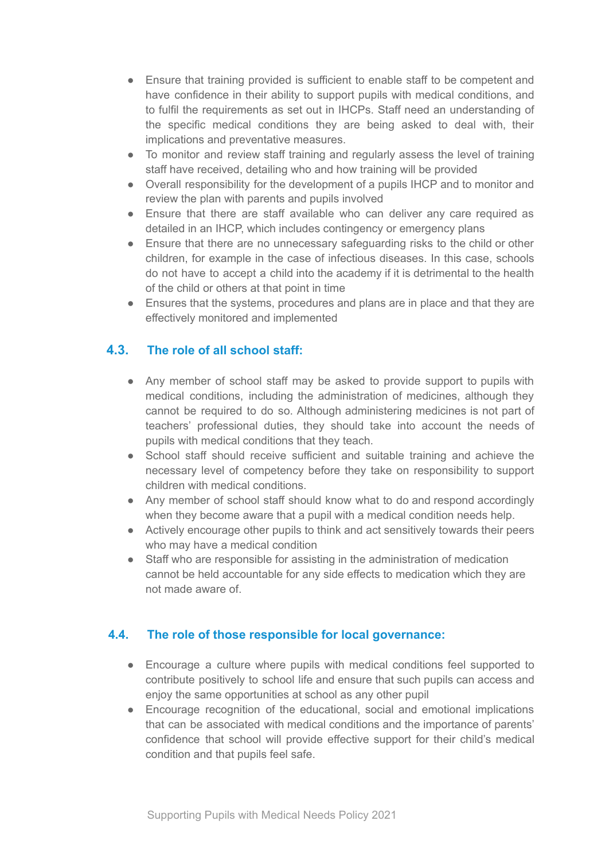- Ensure that training provided is sufficient to enable staff to be competent and have confidence in their ability to support pupils with medical conditions, and to fulfil the requirements as set out in IHCPs. Staff need an understanding of the specific medical conditions they are being asked to deal with, their implications and preventative measures.
- To monitor and review staff training and regularly assess the level of training staff have received, detailing who and how training will be provided
- Overall responsibility for the development of a pupils IHCP and to monitor and review the plan with parents and pupils involved
- Ensure that there are staff available who can deliver any care required as detailed in an IHCP, which includes contingency or emergency plans
- Ensure that there are no unnecessary safeguarding risks to the child or other children, for example in the case of infectious diseases. In this case, schools do not have to accept a child into the academy if it is detrimental to the health of the child or others at that point in time
- Ensures that the systems, procedures and plans are in place and that they are effectively monitored and implemented

#### **4.3. The role of all school staff:**

- Any member of school staff may be asked to provide support to pupils with medical conditions, including the administration of medicines, although they cannot be required to do so. Although administering medicines is not part of teachers' professional duties, they should take into account the needs of pupils with medical conditions that they teach.
- School staff should receive sufficient and suitable training and achieve the necessary level of competency before they take on responsibility to support children with medical conditions.
- Any member of school staff should know what to do and respond accordingly when they become aware that a pupil with a medical condition needs help.
- Actively encourage other pupils to think and act sensitively towards their peers who may have a medical condition
- Staff who are responsible for assisting in the administration of medication cannot be held accountable for any side effects to medication which they are not made aware of.

#### **4.4. The role of those responsible for local governance:**

- Encourage a culture where pupils with medical conditions feel supported to contribute positively to school life and ensure that such pupils can access and enjoy the same opportunities at school as any other pupil
- Encourage recognition of the educational, social and emotional implications that can be associated with medical conditions and the importance of parents' confidence that school will provide effective support for their child's medical condition and that pupils feel safe.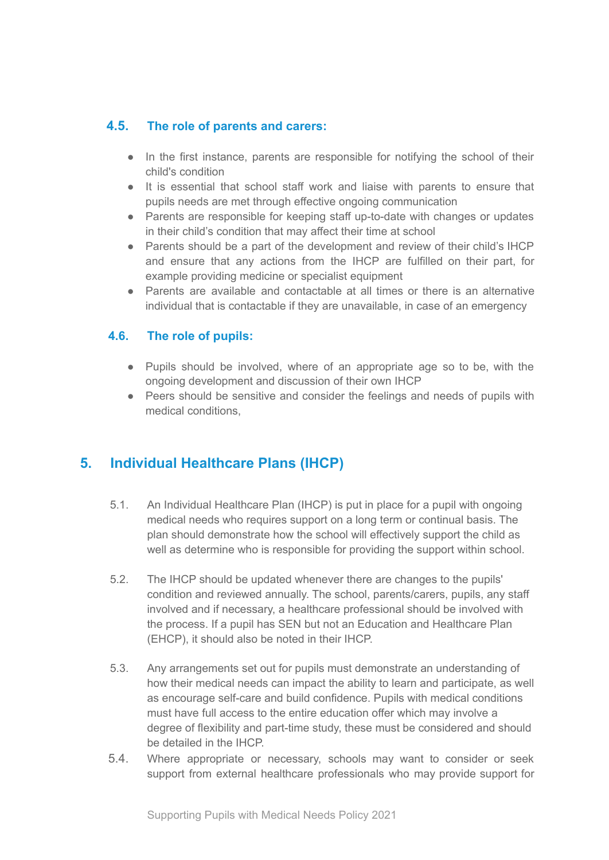#### **4.5. The role of parents and carers:**

- In the first instance, parents are responsible for notifying the school of their child's condition
- It is essential that school staff work and liaise with parents to ensure that pupils needs are met through effective ongoing communication
- Parents are responsible for keeping staff up-to-date with changes or updates in their child's condition that may affect their time at school
- Parents should be a part of the development and review of their child's IHCP and ensure that any actions from the IHCP are fulfilled on their part, for example providing medicine or specialist equipment
- Parents are available and contactable at all times or there is an alternative individual that is contactable if they are unavailable, in case of an emergency

#### **4.6. The role of pupils:**

- Pupils should be involved, where of an appropriate age so to be, with the ongoing development and discussion of their own IHCP
- Peers should be sensitive and consider the feelings and needs of pupils with medical conditions

## <span id="page-7-0"></span>**5. Individual Healthcare Plans (IHCP)**

- 5.1. An Individual Healthcare Plan (IHCP) is put in place for a pupil with ongoing medical needs who requires support on a long term or continual basis. The plan should demonstrate how the school will effectively support the child as well as determine who is responsible for providing the support within school.
- 5.2. The IHCP should be updated whenever there are changes to the pupils' condition and reviewed annually. The school, parents/carers, pupils, any staff involved and if necessary, a healthcare professional should be involved with the process. If a pupil has SEN but not an Education and Healthcare Plan (EHCP), it should also be noted in their IHCP.
- 5.3. Any arrangements set out for pupils must demonstrate an understanding of how their medical needs can impact the ability to learn and participate, as well as encourage self-care and build confidence. Pupils with medical conditions must have full access to the entire education offer which may involve a degree of flexibility and part-time study, these must be considered and should be detailed in the IHCP.
- 5.4. Where appropriate or necessary, schools may want to consider or seek support from external healthcare professionals who may provide support for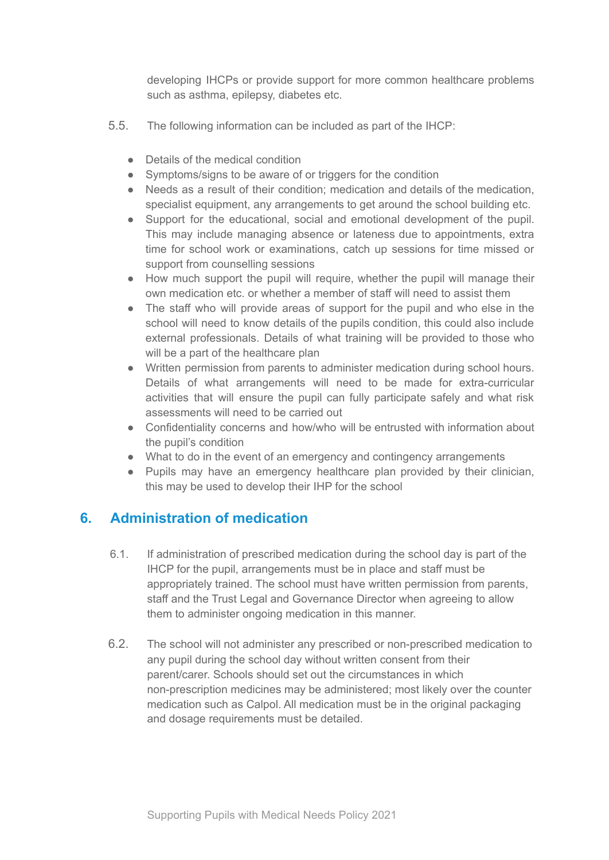developing IHCPs or provide support for more common healthcare problems such as asthma, epilepsy, diabetes etc.

- 5.5. The following information can be included as part of the IHCP:
	- Details of the medical condition
	- Symptoms/signs to be aware of or triggers for the condition
	- Needs as a result of their condition; medication and details of the medication, specialist equipment, any arrangements to get around the school building etc.
	- Support for the educational, social and emotional development of the pupil. This may include managing absence or lateness due to appointments, extra time for school work or examinations, catch up sessions for time missed or support from counselling sessions
	- How much support the pupil will require, whether the pupil will manage their own medication etc. or whether a member of staff will need to assist them
	- The staff who will provide areas of support for the pupil and who else in the school will need to know details of the pupils condition, this could also include external professionals. Details of what training will be provided to those who will be a part of the healthcare plan
	- Written permission from parents to administer medication during school hours. Details of what arrangements will need to be made for extra-curricular activities that will ensure the pupil can fully participate safely and what risk assessments will need to be carried out
	- Confidentiality concerns and how/who will be entrusted with information about the pupil's condition
	- What to do in the event of an emergency and contingency arrangements
	- Pupils may have an emergency healthcare plan provided by their clinician, this may be used to develop their IHP for the school

#### <span id="page-8-0"></span>**6. Administration of medication**

- 6.1. If administration of prescribed medication during the school day is part of the IHCP for the pupil, arrangements must be in place and staff must be appropriately trained. The school must have written permission from parents, staff and the Trust Legal and Governance Director when agreeing to allow them to administer ongoing medication in this manner.
- 6.2. The school will not administer any prescribed or non-prescribed medication to any pupil during the school day without written consent from their parent/carer. Schools should set out the circumstances in which non-prescription medicines may be administered; most likely over the counter medication such as Calpol. All medication must be in the original packaging and dosage requirements must be detailed.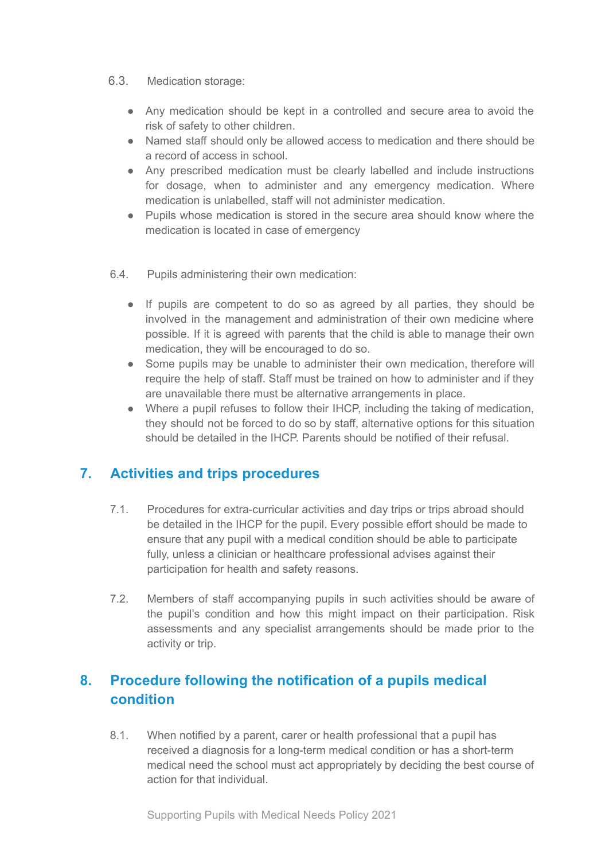- 6.3. Medication storage:
	- Any medication should be kept in a controlled and secure area to avoid the risk of safety to other children.
	- Named staff should only be allowed access to medication and there should be a record of access in school.
	- Any prescribed medication must be clearly labelled and include instructions for dosage, when to administer and any emergency medication. Where medication is unlabelled, staff will not administer medication.
	- Pupils whose medication is stored in the secure area should know where the medication is located in case of emergency
- 6.4. Pupils administering their own medication:
	- If pupils are competent to do so as agreed by all parties, they should be involved in the management and administration of their own medicine where possible. If it is agreed with parents that the child is able to manage their own medication, they will be encouraged to do so.
	- Some pupils may be unable to administer their own medication, therefore will require the help of staff. Staff must be trained on how to administer and if they are unavailable there must be alternative arrangements in place.
	- Where a pupil refuses to follow their IHCP, including the taking of medication, they should not be forced to do so by staff, alternative options for this situation should be detailed in the IHCP. Parents should be notified of their refusal.

## <span id="page-9-0"></span>**7. Activities and trips procedures**

- 7.1. Procedures for extra-curricular activities and day trips or trips abroad should be detailed in the IHCP for the pupil. Every possible effort should be made to ensure that any pupil with a medical condition should be able to participate fully, unless a clinician or healthcare professional advises against their participation for health and safety reasons.
- 7.2. Members of staff accompanying pupils in such activities should be aware of the pupil's condition and how this might impact on their participation. Risk assessments and any specialist arrangements should be made prior to the activity or trip.

## <span id="page-9-1"></span>**8. Procedure following the notification of a pupils medical condition**

8.1. When notified by a parent, carer or health professional that a pupil has received a diagnosis for a long-term medical condition or has a short-term medical need the school must act appropriately by deciding the best course of action for that individual.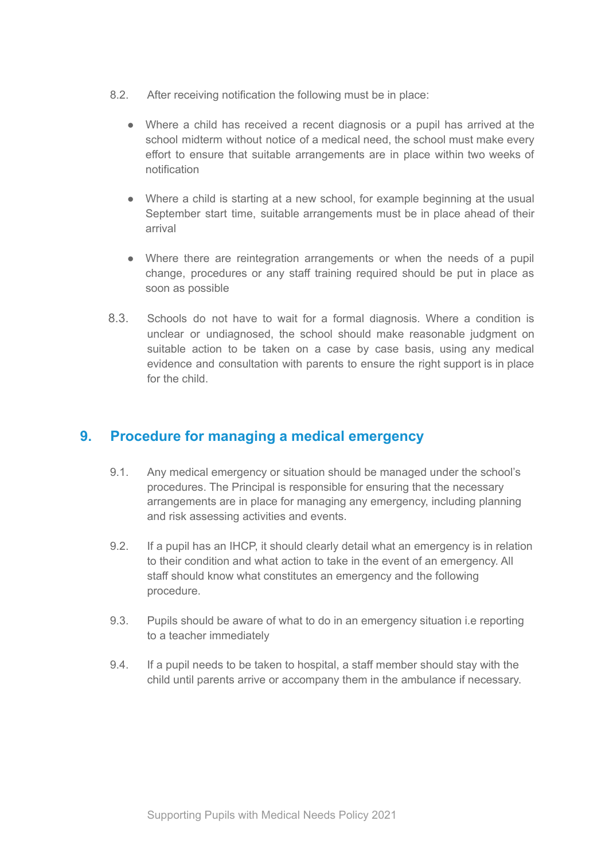- 8.2. After receiving notification the following must be in place:
	- Where a child has received a recent diagnosis or a pupil has arrived at the school midterm without notice of a medical need, the school must make every effort to ensure that suitable arrangements are in place within two weeks of notification
	- Where a child is starting at a new school, for example beginning at the usual September start time, suitable arrangements must be in place ahead of their arrival
	- Where there are reintegration arrangements or when the needs of a pupil change, procedures or any staff training required should be put in place as soon as possible
- 8.3. Schools do not have to wait for a formal diagnosis. Where a condition is unclear or undiagnosed, the school should make reasonable judgment on suitable action to be taken on a case by case basis, using any medical evidence and consultation with parents to ensure the right support is in place for the child.

## <span id="page-10-0"></span>**9. Procedure for managing a medical emergency**

- 9.1. Any medical emergency or situation should be managed under the school's procedures. The Principal is responsible for ensuring that the necessary arrangements are in place for managing any emergency, including planning and risk assessing activities and events.
- 9.2. If a pupil has an IHCP, it should clearly detail what an emergency is in relation to their condition and what action to take in the event of an emergency. All staff should know what constitutes an emergency and the following procedure.
- 9.3. Pupils should be aware of what to do in an emergency situation i.e reporting to a teacher immediately
- 9.4. If a pupil needs to be taken to hospital, a staff member should stay with the child until parents arrive or accompany them in the ambulance if necessary.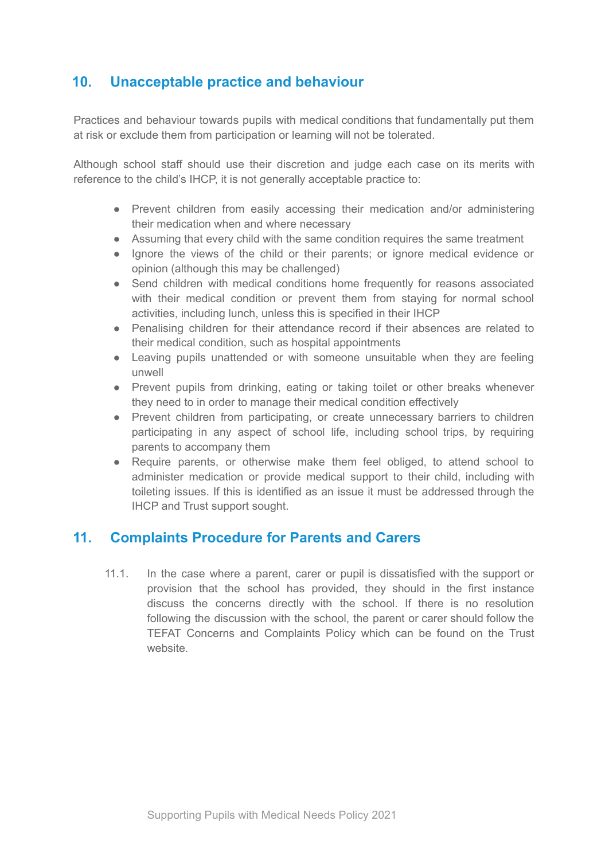## <span id="page-11-0"></span>**10. Unacceptable practice and behaviour**

Practices and behaviour towards pupils with medical conditions that fundamentally put them at risk or exclude them from participation or learning will not be tolerated.

Although school staff should use their discretion and judge each case on its merits with reference to the child's IHCP, it is not generally acceptable practice to:

- Prevent children from easily accessing their medication and/or administering their medication when and where necessary
- Assuming that every child with the same condition requires the same treatment
- Ignore the views of the child or their parents; or ignore medical evidence or opinion (although this may be challenged)
- Send children with medical conditions home frequently for reasons associated with their medical condition or prevent them from staying for normal school activities, including lunch, unless this is specified in their IHCP
- Penalising children for their attendance record if their absences are related to their medical condition, such as hospital appointments
- Leaving pupils unattended or with someone unsuitable when they are feeling unwell
- Prevent pupils from drinking, eating or taking toilet or other breaks whenever they need to in order to manage their medical condition effectively
- Prevent children from participating, or create unnecessary barriers to children participating in any aspect of school life, including school trips, by requiring parents to accompany them
- Require parents, or otherwise make them feel obliged, to attend school to administer medication or provide medical support to their child, including with toileting issues. If this is identified as an issue it must be addressed through the IHCP and Trust support sought.

#### <span id="page-11-1"></span>**11. Complaints Procedure for Parents and Carers**

11.1. In the case where a parent, carer or pupil is dissatisfied with the support or provision that the school has provided, they should in the first instance discuss the concerns directly with the school. If there is no resolution following the discussion with the school, the parent or carer should follow the TEFAT Concerns and Complaints Policy which can be found on the Trust website.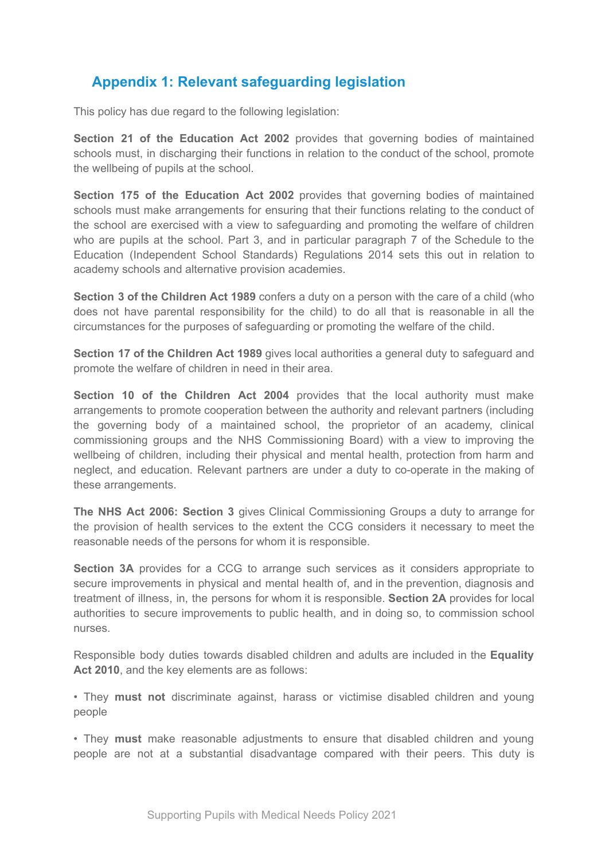# <span id="page-12-0"></span>**Appendix 1: Relevant safeguarding legislation**

This policy has due regard to the following legislation:

**Section 21 of the Education Act 2002** provides that governing bodies of maintained schools must, in discharging their functions in relation to the conduct of the school, promote the wellbeing of pupils at the school.

**Section 175 of the Education Act 2002** provides that governing bodies of maintained schools must make arrangements for ensuring that their functions relating to the conduct of the school are exercised with a view to safeguarding and promoting the welfare of children who are pupils at the school. Part 3, and in particular paragraph 7 of the Schedule to the Education (Independent School Standards) Regulations 2014 sets this out in relation to academy schools and alternative provision academies.

**Section 3 of the Children Act 1989** confers a duty on a person with the care of a child (who does not have parental responsibility for the child) to do all that is reasonable in all the circumstances for the purposes of safeguarding or promoting the welfare of the child.

**Section 17 of the Children Act 1989** gives local authorities a general duty to safeguard and promote the welfare of children in need in their area.

**Section 10 of the Children Act 2004** provides that the local authority must make arrangements to promote cooperation between the authority and relevant partners (including the governing body of a maintained school, the proprietor of an academy, clinical commissioning groups and the NHS Commissioning Board) with a view to improving the wellbeing of children, including their physical and mental health, protection from harm and neglect, and education. Relevant partners are under a duty to co-operate in the making of these arrangements.

**The NHS Act 2006: Section 3** gives Clinical Commissioning Groups a duty to arrange for the provision of health services to the extent the CCG considers it necessary to meet the reasonable needs of the persons for whom it is responsible.

**Section 3A** provides for a CCG to arrange such services as it considers appropriate to secure improvements in physical and mental health of, and in the prevention, diagnosis and treatment of illness, in, the persons for whom it is responsible. **Section 2A** provides for local authorities to secure improvements to public health, and in doing so, to commission school nurses.

Responsible body duties towards disabled children and adults are included in the **Equality Act 2010**, and the key elements are as follows:

• They **must not** discriminate against, harass or victimise disabled children and young people

• They **must** make reasonable adjustments to ensure that disabled children and young people are not at a substantial disadvantage compared with their peers. This duty is